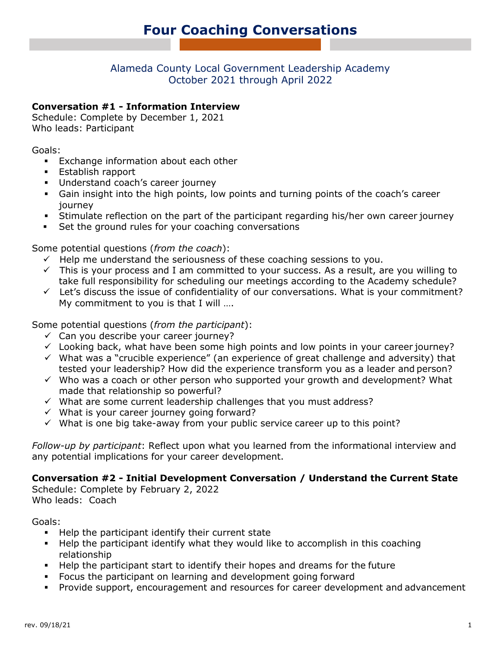## Alameda County Local Government Leadership Academy October 2021 through April 2022

#### **Conversation #1 - Information Interview**

Schedule: Complete by December 1, 2021 Who leads: Participant

Goals:

- **Exchange information about each other**
- **Establish rapport**
- **Understand coach's career journey**
- Gain insight into the high points, low points and turning points of the coach's career journey
- Stimulate reflection on the part of the participant regarding his/her own career journey
- Set the ground rules for your coaching conversations

Some potential questions (*from the coach*):

- $\checkmark$  Help me understand the seriousness of these coaching sessions to you.
- $\checkmark$  This is your process and I am committed to your success. As a result, are you willing to take full responsibility for scheduling our meetings according to the Academy schedule?
- $\checkmark$  Let's discuss the issue of confidentiality of our conversations. What is your commitment? My commitment to you is that I will ....

Some potential questions (*from the participant*):

- $\checkmark$  Can you describe your career journey?
- $\checkmark$  Looking back, what have been some high points and low points in your career journey?
- $\checkmark$  What was a "crucible experience" (an experience of great challenge and adversity) that tested your leadership? How did the experience transform you as a leader and person?
- $\checkmark$  Who was a coach or other person who supported your growth and development? What made that relationship so powerful?
- $\checkmark$  What are some current leadership challenges that you must address?
- $\checkmark$  What is your career journey going forward?
- $\checkmark$  What is one big take-away from your public service career up to this point?

*Follow-up by participant*: Reflect upon what you learned from the informational interview and any potential implications for your career development.

**Conversation #2 - Initial Development Conversation / Understand the Current State**

Schedule: Complete by February 2, 2022 Who leads: Coach

Goals:

- **Help the participant identify their current state**
- Help the participant identify what they would like to accomplish in this coaching relationship
- Help the participant start to identify their hopes and dreams for the future
- Focus the participant on learning and development going forward
- Provide support, encouragement and resources for career development and advancement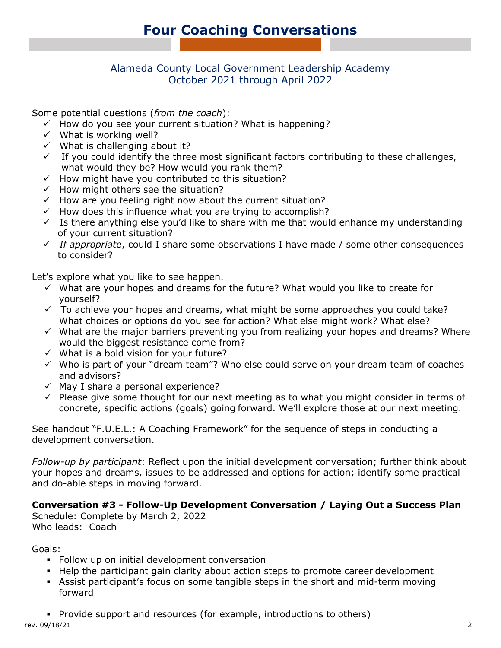### Alameda County Local Government Leadership Academy October 2021 through April 2022

Some potential questions (*from the coach*):

- $\checkmark$  How do you see your current situation? What is happening?
- $\checkmark$  What is working well?
- $\checkmark$  What is challenging about it?
- $\checkmark$  If you could identify the three most significant factors contributing to these challenges, what would they be? How would you rank them?
- $\checkmark$  How might have you contributed to this situation?
- $\checkmark$  How might others see the situation?
- $\checkmark$  How are you feeling right now about the current situation?
- $\checkmark$  How does this influence what you are trying to accomplish?
- $\checkmark$  Is there anything else you'd like to share with me that would enhance my understanding of your current situation?
- *If appropriate*, could I share some observations I have made / some other consequences to consider?

Let's explore what you like to see happen.

- $\checkmark$  What are your hopes and dreams for the future? What would you like to create for yourself?
- $\checkmark$  To achieve your hopes and dreams, what might be some approaches you could take? What choices or options do you see for action? What else might work? What else?
- $\checkmark$  What are the major barriers preventing you from realizing your hopes and dreams? Where would the biggest resistance come from?
- $\checkmark$  What is a bold vision for your future?
- $\checkmark$  Who is part of your "dream team"? Who else could serve on your dream team of coaches and advisors?
- $\checkmark$  May I share a personal experience?
- $\checkmark$  Please give some thought for our next meeting as to what you might consider in terms of concrete, specific actions (goals) going forward. We'll explore those at our next meeting.

See handout "F.U.E.L.: A Coaching Framework" for the sequence of steps in conducting a development conversation.

*Follow-up by participant*: Reflect upon the initial development conversation; further think about your hopes and dreams, issues to be addressed and options for action; identify some practical and do-able steps in moving forward.

**Conversation #3 - Follow-Up Development Conversation / Laying Out a Success Plan** Schedule: Complete by March 2, 2022

Who leads: Coach

Goals:

- **Follow up on initial development conversation**
- Help the participant gain clarity about action steps to promote career development
- Assist participant's focus on some tangible steps in the short and mid-term moving forward
- **Phology** Provide support and resources (for example, introductions to others)